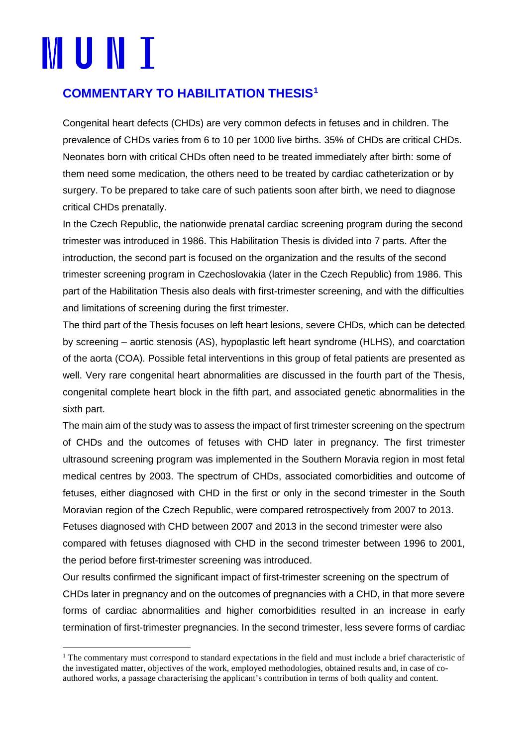## **MUNI**

## **COMMENTARY TO HABILITATION THESIS[1](#page-0-0)**

Congenital heart defects (CHDs) are very common defects in fetuses and in children. The prevalence of CHDs varies from 6 to 10 per 1000 live births. 35% of CHDs are critical CHDs. Neonates born with critical CHDs often need to be treated immediately after birth: some of them need some medication, the others need to be treated by cardiac catheterization or by surgery. To be prepared to take care of such patients soon after birth, we need to diagnose critical CHDs prenatally.

In the Czech Republic, the nationwide prenatal cardiac screening program during the second trimester was introduced in 1986. This Habilitation Thesis is divided into 7 parts. After the introduction, the second part is focused on the organization and the results of the second trimester screening program in Czechoslovakia (later in the Czech Republic) from 1986. This part of the Habilitation Thesis also deals with first-trimester screening, and with the difficulties and limitations of screening during the first trimester.

The third part of the Thesis focuses on left heart lesions, severe CHDs, which can be detected by screening – aortic stenosis (AS), hypoplastic left heart syndrome (HLHS), and coarctation of the aorta (COA). Possible fetal interventions in this group of fetal patients are presented as well. Very rare congenital heart abnormalities are discussed in the fourth part of the Thesis, congenital complete heart block in the fifth part, and associated genetic abnormalities in the sixth part.

The main aim of the study was to assess the impact of first trimester screening on the spectrum of CHDs and the outcomes of fetuses with CHD later in pregnancy. The first trimester ultrasound screening program was implemented in the Southern Moravia region in most fetal medical centres by 2003. The spectrum of CHDs, associated comorbidities and outcome of fetuses, either diagnosed with CHD in the first or only in the second trimester in the South Moravian region of the Czech Republic, were compared retrospectively from 2007 to 2013. Fetuses diagnosed with CHD between 2007 and 2013 in the second trimester were also compared with fetuses diagnosed with CHD in the second trimester between 1996 to 2001, the period before first-trimester screening was introduced.

Our results confirmed the significant impact of first-trimester screening on the spectrum of CHDs later in pregnancy and on the outcomes of pregnancies with a CHD, in that more severe forms of cardiac abnormalities and higher comorbidities resulted in an increase in early termination of first-trimester pregnancies. In the second trimester, less severe forms of cardiac

<span id="page-0-0"></span> $1$  The commentary must correspond to standard expectations in the field and must include a brief characteristic of the investigated matter, objectives of the work, employed methodologies, obtained results and, in case of coauthored works, a passage characterising the applicant's contribution in terms of both quality and content.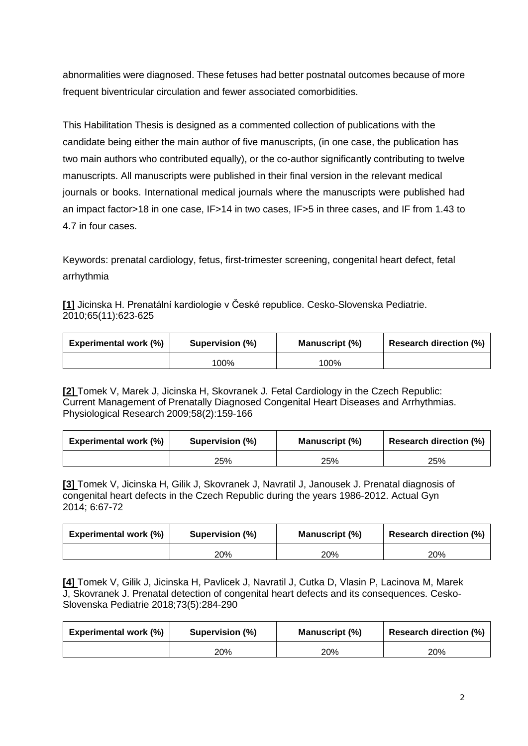abnormalities were diagnosed. These fetuses had better postnatal outcomes because of more frequent biventricular circulation and fewer associated comorbidities.

This Habilitation Thesis is designed as a commented collection of publications with the candidate being either the main author of five manuscripts, (in one case, the publication has two main authors who contributed equally), or the co-author significantly contributing to twelve manuscripts. All manuscripts were published in their final version in the relevant medical journals or books. International medical journals where the manuscripts were published had an impact factor>18 in one case, IF>14 in two cases, IF>5 in three cases, and IF from 1.43 to 4.7 in four cases.

Keywords: prenatal cardiology, fetus, first-trimester screening, congenital heart defect, fetal arrhythmia

**[1]** Jicinska H. Prenatální kardiologie v České republice. Cesko-Slovenska Pediatrie. 2010;65(11):623-625

| <b>Experimental work (%)</b> | Supervision (%) | Manuscript (%) | <b>Research direction (%)</b> |
|------------------------------|-----------------|----------------|-------------------------------|
|                              | 100%            | 100%           |                               |

**[2]** Tomek V, Marek J, Jicinska H, Skovranek J. Fetal Cardiology in the Czech Republic: Current Management of Prenatally Diagnosed Congenital Heart Diseases and Arrhythmias. Physiological Research 2009;58(2):159-166

| <b>Experimental work (%)</b> | Supervision (%) | <b>Manuscript</b> (%) | <b>Research direction (%)</b> |
|------------------------------|-----------------|-----------------------|-------------------------------|
|                              | 25%             | 25%                   | 25%                           |

**[3]** Tomek V, Jicinska H, Gilik J, Skovranek J, Navratil J, Janousek J. Prenatal diagnosis of congenital heart defects in the Czech Republic during the years 1986-2012. Actual Gyn 2014; 6:67-72

| <b>Experimental work (%)</b> | Supervision (%) | <b>Manuscript</b> (%) | <b>Research direction (%)</b> |
|------------------------------|-----------------|-----------------------|-------------------------------|
|                              | 20%             | 20%                   | 20%                           |

**[4]** Tomek V, Gilik J, Jicinska H, Pavlicek J, Navratil J, Cutka D, Vlasin P, Lacinova M, Marek J, Skovranek J. Prenatal detection of congenital heart defects and its consequences. Cesko-Slovenska Pediatrie 2018;73(5):284-290

| <b>Experimental work (%)</b> | Supervision (%) | Manuscript (%) | <b>Research direction (%)</b> |
|------------------------------|-----------------|----------------|-------------------------------|
|                              | 20%             | 20%            | 20%                           |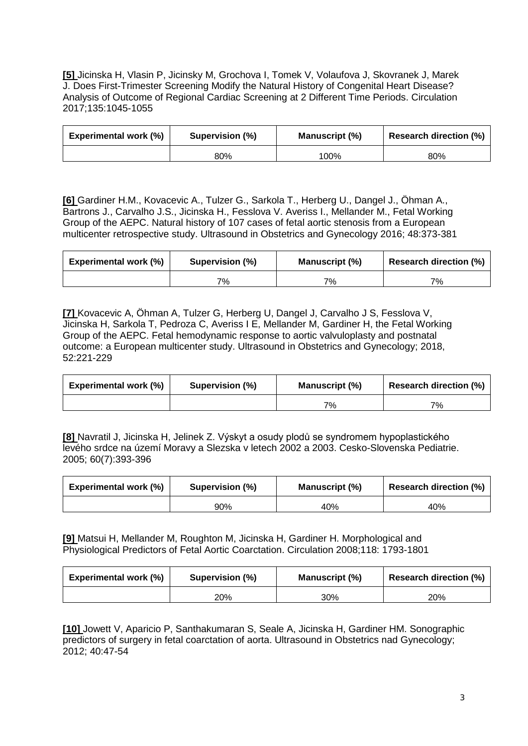**[5]** Jicinska H, Vlasin P, Jicinsky M, Grochova I, Tomek V, Volaufova J, Skovranek J, Marek J. Does First-Trimester Screening Modify the Natural History of Congenital Heart Disease? Analysis of Outcome of Regional Cardiac Screening at 2 Different Time Periods. Circulation 2017;135:1045-1055

| <b>Experimental work (%)</b> | Supervision (%) | <b>Manuscript (%)</b> | <b>Research direction (%)</b> |
|------------------------------|-----------------|-----------------------|-------------------------------|
|                              | 80%             | 100%                  | 80%                           |

**[6]** Gardiner H.M., Kovacevic A., Tulzer G., Sarkola T., Herberg U., Dangel J., Öhman A., Bartrons J., Carvalho J.S., Jicinska H., Fesslova V. Averiss I., Mellander M., Fetal Working Group of the AEPC. Natural history of 107 cases of fetal aortic stenosis from a European multicenter retrospective study. Ultrasound in Obstetrics and Gynecology 2016; 48:373-381

| <b>Experimental work (%)</b> | Supervision (%) | Manuscript (%) | <b>Research direction (%)</b> |
|------------------------------|-----------------|----------------|-------------------------------|
|                              | 7%              | 7%             | 7%                            |

**[7]** Kovacevic A, Öhman A, Tulzer G, Herberg U, Dangel J, Carvalho J S, Fesslova V, Jicinska H, Sarkola T, Pedroza C, Averiss I E, Mellander M, Gardiner H, the Fetal Working Group of the AEPC. Fetal hemodynamic response to aortic valvuloplasty and postnatal outcome: a European multicenter study. Ultrasound in Obstetrics and Gynecology; 2018, 52:221-229

| <b>Experimental work (%)</b> | Supervision (%) | <b>Manuscript (%)</b> | <b>Research direction (%)</b> |
|------------------------------|-----------------|-----------------------|-------------------------------|
|                              |                 | 7%                    | 7%                            |

**[8]** Navratil J, Jicinska H, Jelinek Z. Výskyt a osudy plodů se syndromem hypoplastického levého srdce na území Moravy a Slezska v letech 2002 a 2003. Cesko-Slovenska Pediatrie. 2005; 60(7):393-396

| <b>Experimental work (%)</b> | Supervision (%) | Manuscript (%) | <b>Research direction (%)</b> |
|------------------------------|-----------------|----------------|-------------------------------|
|                              | 90%             | 40%            | 40%                           |

**[9]** Matsui H, Mellander M, Roughton M, Jicinska H, Gardiner H. Morphological and Physiological Predictors of Fetal Aortic Coarctation. Circulation 2008;118: 1793-1801

| <b>Experimental work (%)</b> | Supervision (%) | <b>Manuscript (%)</b> | <b>Research direction (%)</b> |
|------------------------------|-----------------|-----------------------|-------------------------------|
|                              | 20%             | 30%                   | 20%                           |

**[10]** Jowett V, Aparicio P, Santhakumaran S, Seale A, Jicinska H, Gardiner HM. Sonographic predictors of surgery in fetal coarctation of aorta. Ultrasound in Obstetrics nad Gynecology; 2012; 40:47-54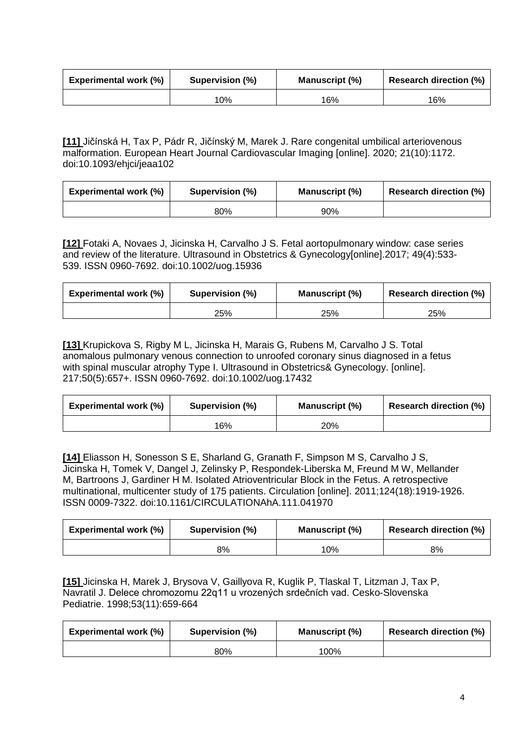| <b>Experimental work (%)</b> | Supervision (%) | Manuscript (%) | <b>Research direction (%)</b> |
|------------------------------|-----------------|----------------|-------------------------------|
|                              | 10%             | 16%            | 16%                           |

**[11]** Jičínská H, Tax P, Pádr R, Jičínský M, Marek J. Rare congenital umbilical arteriovenous malformation. European Heart Journal Cardiovascular Imaging [online]. 2020; 21(10):1172. doi:10.1093/ehjci/jeaa102

| <b>Experimental work (%)</b> | Supervision (%) | <b>Manuscript</b> (%) | <b>Research direction (%)</b> |
|------------------------------|-----------------|-----------------------|-------------------------------|
|                              | 80%             | 90%                   |                               |

**[12]** Fotaki A, Novaes J, Jicinska H, Carvalho J S. Fetal aortopulmonary window: case series and review of the literature. Ultrasound in Obstetrics & Gynecology[online].2017; 49(4):533- 539. ISSN 0960-7692. doi:10.1002/uog.15936

| <b>Experimental work (%)</b> | Supervision (%) | Manuscript (%) | <b>Research direction (%)</b> |
|------------------------------|-----------------|----------------|-------------------------------|
|                              | 25%             | 25%            | 25%                           |

**[13]** Krupickova S, Rigby M L, Jicinska H, Marais G, Rubens M, Carvalho J S. Total anomalous pulmonary venous connection to unroofed coronary sinus diagnosed in a fetus with spinal muscular atrophy Type I. Ultrasound in Obstetrics& Gynecology. [online]. 217;50(5):657+. ISSN 0960-7692. doi:10.1002/uog.17432

| <b>Experimental work (%)</b> | Supervision (%) | Manuscript (%) | <b>Research direction (%)</b> |
|------------------------------|-----------------|----------------|-------------------------------|
|                              | 16%             | 20%            |                               |

**[14]** Eliasson H, Sonesson S E, Sharland G, Granath F, Simpson M S, Carvalho J S, Jicinska H, Tomek V, Dangel J, Zelinsky P, Respondek-Liberska M, Freund M W, Mellander M, Bartroons J, Gardiner H M. Isolated Atrioventricular Block in the Fetus. A retrospective multinational, multicenter study of 175 patients. Circulation [online]. 2011;124(18):1919-1926. ISSN 0009-7322. doi:10.1161/CIRCULATIONAhA.111.041970

| <b>Experimental work (%)</b> | Supervision (%) | <b>Manuscript (%)</b> | <b>Research direction (%)</b> |
|------------------------------|-----------------|-----------------------|-------------------------------|
|                              | 8%              | 10%                   | 8%                            |

**[15]** Jicinska H, Marek J, Brysova V, Gaillyova R, Kuglik P, Tlaskal T, Litzman J, Tax P, Navratil J. Delece chromozomu 22q11 u vrozených srdečních vad. Cesko-Slovenska Pediatrie. 1998;53(11):659-664

| <b>Experimental work (%)</b> | Supervision (%) | Manuscript (%) | <b>Research direction (%)</b> |
|------------------------------|-----------------|----------------|-------------------------------|
|                              | 80%             | 100%           |                               |